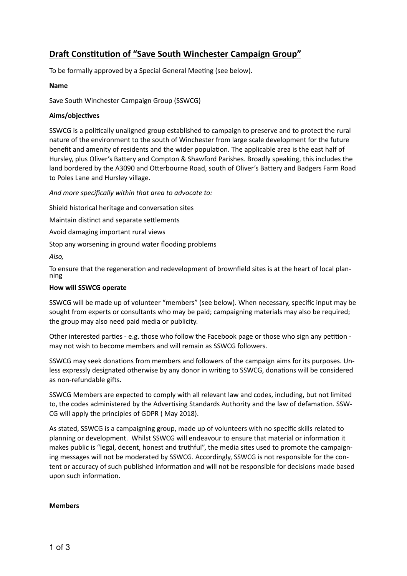# **Draft Constitution of "Save South Winchester Campaign Group"**

To be formally approved by a Special General Meeting (see below).

### **Name**

Save South Winchester Campaign Group (SSWCG)

## **Aims/objectives**

SSWCG is a politically unaligned group established to campaign to preserve and to protect the rural nature of the environment to the south of Winchester from large scale development for the future benefit and amenity of residents and the wider population. The applicable area is the east half of Hursley, plus Oliver's Battery and Compton & Shawford Parishes. Broadly speaking, this includes the land bordered by the A3090 and Otterbourne Road, south of Oliver's Battery and Badgers Farm Road to Poles Lane and Hursley village.

*And more specifically within that area to advocate to:* 

Shield historical heritage and conversation sites

Maintain distinct and separate settlements

Avoid damaging important rural views

Stop any worsening in ground water flooding problems

*Also,*

To ensure that the regeneration and redevelopment of brownfield sites is at the heart of local plan- ning

### **How will SSWCG operate**

SSWCG will be made up of volunteer "members" (see below). When necessary, specific input may be sought from experts or consultants who may be paid; campaigning materials may also be required; the group may also need paid media or publicity.

Other interested parties - e.g. those who follow the Facebook page or those who sign any petition may not wish to become members and will remain as SSWCG followers.

SSWCG may seek donations from members and followers of the campaign aims for its purposes. Unless expressly designated otherwise by any donor in writing to SSWCG, donations will be considered as non-refundable gifts.

SSWCG Members are expected to comply with all relevant law and codes, including, but not limited to, the codes administered by the Advertising Standards Authority and the law of defamation. SSW-CG will apply the principles of GDPR ( May 2018).

As stated, SSWCG is a campaigning group, made up of volunteers with no specific skills related to planning or development. Whilst SSWCG will endeavour to ensure that material or information it makes public is "legal, decent, honest and truthful", the media sites used to promote the campaigning messages will not be moderated by SSWCG. Accordingly, SSWCG is not responsible for the content or accuracy of such published information and will not be responsible for decisions made based upon such information.

#### **Members**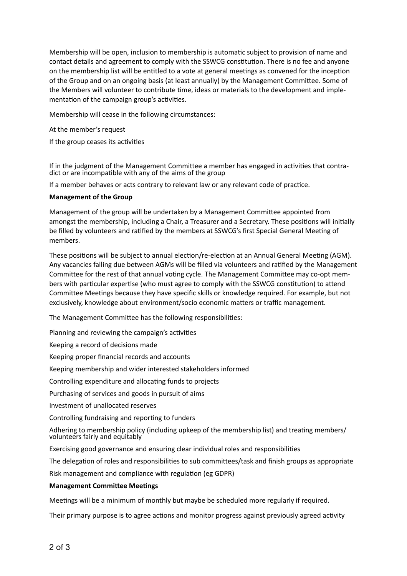Membership will be open, inclusion to membership is automatic subject to provision of name and contact details and agreement to comply with the SSWCG constitution. There is no fee and anyone on the membership list will be entitled to a vote at general meetings as convened for the inception of the Group and on an ongoing basis (at least annually) by the Management Committee. Some of the Members will volunteer to contribute time, ideas or materials to the development and implementation of the campaign group's activities.

Membership will cease in the following circumstances:

At the member's request

If the group ceases its activities

If in the judgment of the Management Committee a member has engaged in activities that contra- dict or are incompatible with any of the aims of the group

If a member behaves or acts contrary to relevant law or any relevant code of practice.

#### **Management of the Group**

Management of the group will be undertaken by a Management Committee appointed from amongst the membership, including a Chair, a Treasurer and a Secretary. These positions will initially be filled by volunteers and ratified by the members at SSWCG's first Special General Meeting of members.

These positions will be subject to annual election/re-election at an Annual General Meeting (AGM). Any vacancies falling due between AGMs will be filled via volunteers and ratified by the Management Committee for the rest of that annual voting cycle. The Management Committee may co-opt members with particular expertise (who must agree to comply with the SSWCG constitution) to attend Committee Meetings because they have specific skills or knowledge required. For example, but not exclusively, knowledge about environment/socio economic matters or traffic management.

The Management Committee has the following responsibilities:

Planning and reviewing the campaign's activities

Keeping a record of decisions made

Keeping proper financial records and accounts

Keeping membership and wider interested stakeholders informed

Controlling expenditure and allocating funds to projects

Purchasing of services and goods in pursuit of aims

Investment of unallocated reserves

Controlling fundraising and reporting to funders

Adhering to membership policy (including upkeep of the membership list) and treating members/ volunteers fairly and equitably

Exercising good governance and ensuring clear individual roles and responsibilities

The delegation of roles and responsibilities to sub committees/task and finish groups as appropriate

Risk management and compliance with regulation (eg GDPR)

#### **Management Committee Meetings**

Meetings will be a minimum of monthly but maybe be scheduled more regularly if required.

Their primary purpose is to agree actions and monitor progress against previously agreed activity